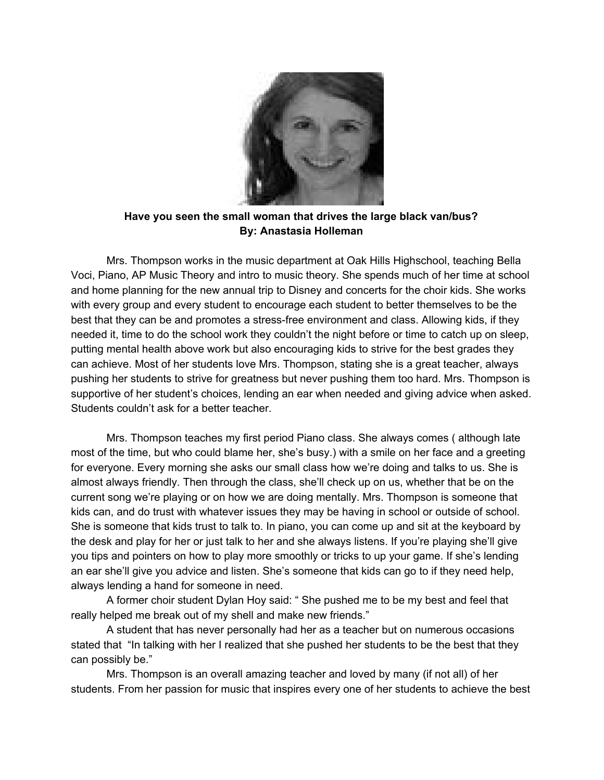

**Have you seen the small woman that drives the large black van/bus? By: Anastasia Holleman**

Mrs. Thompson works in the music department at Oak Hills Highschool, teaching Bella Voci, Piano, AP Music Theory and intro to music theory. She spends much of her time at school and home planning for the new annual trip to Disney and concerts for the choir kids. She works with every group and every student to encourage each student to better themselves to be the best that they can be and promotes a stress-free environment and class. Allowing kids, if they needed it, time to do the school work they couldn't the night before or time to catch up on sleep, putting mental health above work but also encouraging kids to strive for the best grades they can achieve. Most of her students love Mrs. Thompson, stating she is a great teacher, always pushing her students to strive for greatness but never pushing them too hard. Mrs. Thompson is supportive of her student's choices, lending an ear when needed and giving advice when asked. Students couldn't ask for a better teacher.

Mrs. Thompson teaches my first period Piano class. She always comes ( although late most of the time, but who could blame her, she's busy.) with a smile on her face and a greeting for everyone. Every morning she asks our small class how we're doing and talks to us. She is almost always friendly. Then through the class, she'll check up on us, whether that be on the current song we're playing or on how we are doing mentally. Mrs. Thompson is someone that kids can, and do trust with whatever issues they may be having in school or outside of school. She is someone that kids trust to talk to. In piano, you can come up and sit at the keyboard by the desk and play for her or just talk to her and she always listens. If you're playing she'll give you tips and pointers on how to play more smoothly or tricks to up your game. If she's lending an ear she'll give you advice and listen. She's someone that kids can go to if they need help, always lending a hand for someone in need.

A former choir student Dylan Hoy said: " She pushed me to be my best and feel that really helped me break out of my shell and make new friends."

A student that has never personally had her as a teacher but on numerous occasions stated that "In talking with her I realized that she pushed her students to be the best that they can possibly be."

Mrs. Thompson is an overall amazing teacher and loved by many (if not all) of her students. From her passion for music that inspires every one of her students to achieve the best